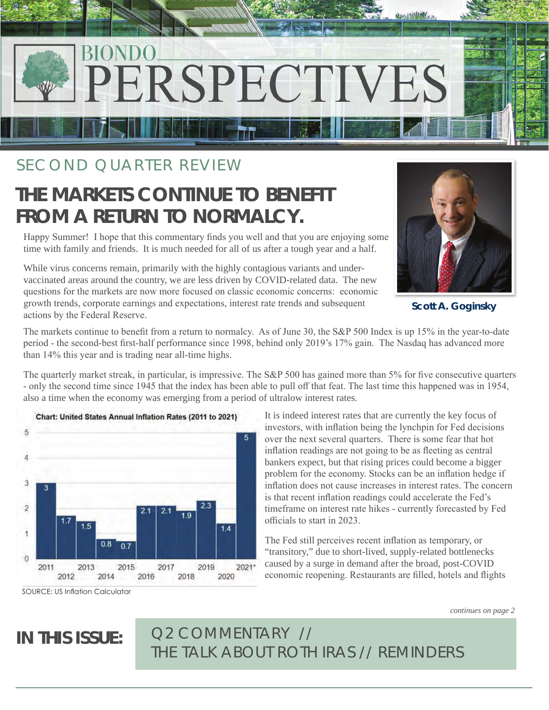

## SECOND QUARTER REVIEW

# **THE MARKETS CONTINUE TO BENEFIT FROM A RETURN TO NORMALCY.**

Happy Summer! I hope that this commentary finds you well and that you are enjoying some time with family and friends. It is much needed for all of us after a tough year and a half.

While virus concerns remain, primarily with the highly contagious variants and undervaccinated areas around the country, we are less driven by COVID-related data. The new questions for the markets are now more focused on classic economic concerns: economic growth trends, corporate earnings and expectations, interest rate trends and subsequent actions by the Federal Reserve.



**Scott A. Goginsky**

The markets continue to benefit from a return to normalcy. As of June 30, the S&P 500 Index is up 15% in the year-to-date period - the second-best first-half performance since 1998, behind only 2019's 17% gain. The Nasdaq has advanced more than 14% this year and is trading near all-time highs.

The quarterly market streak, in particular, is impressive. The S&P 500 has gained more than 5% for five consecutive quarters - only the second time since 1945 that the index has been able to pull off that feat. The last time this happened was in 1954, also a time when the economy was emerging from a period of ultralow interest rates.



It is indeed interest rates that are currently the key focus of investors, with inflation being the lynchpin for Fed decisions over the next several quarters. There is some fear that hot inflation readings are not going to be as fleeting as central bankers expect, but that rising prices could become a bigger problem for the economy. Stocks can be an inflation hedge if inflation does not cause increases in interest rates. The concern is that recent inflation readings could accelerate the Fed's timeframe on interest rate hikes - currently forecasted by Fed officials to start in 2023.

The Fed still perceives recent inflation as temporary, or "transitory," due to short-lived, supply-related bottlenecks caused by a surge in demand after the broad, post-COVID economic reopening. Restaurants are filled, hotels and flights

**IN THIS ISSUE:** *Q2 COMMENTARY // THE TALK ABOUT ROTH IRAS // REMINDERS*

*continues on page 2*

SOURCE: US Inflation Calculator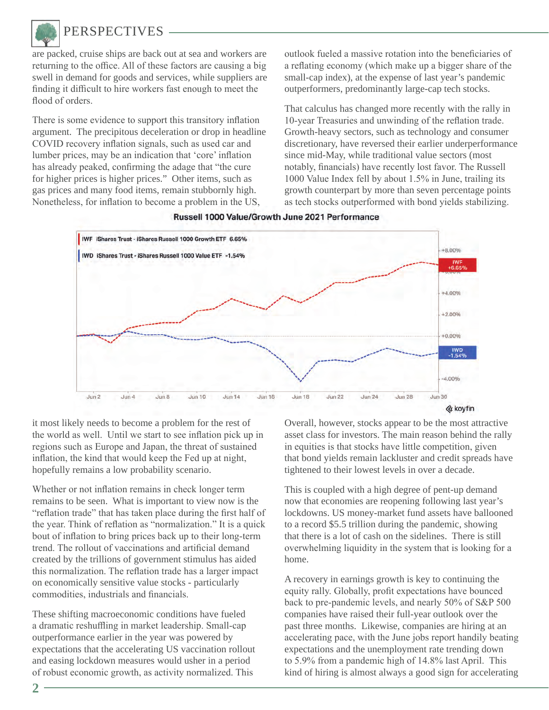

## **PERSPECTIVES**

are packed, cruise ships are back out at sea and workers are returning to the office. All of these factors are causing a big swell in demand for goods and services, while suppliers are finding it difficult to hire workers fast enough to meet the flood of orders.

There is some evidence to support this transitory inflation argument. The precipitous deceleration or drop in headline COVID recovery inflation signals, such as used car and lumber prices, may be an indication that 'core' inflation has already peaked, confirming the adage that "the cure for higher prices is higher prices." Other items, such as gas prices and many food items, remain stubbornly high. Nonetheless, for inflation to become a problem in the US,

outlook fueled a massive rotation into the beneficiaries of a reflating economy (which make up a bigger share of the small-cap index), at the expense of last year's pandemic outperformers, predominantly large-cap tech stocks.

That calculus has changed more recently with the rally in 10-year Treasuries and unwinding of the reflation trade. Growth-heavy sectors, such as technology and consumer discretionary, have reversed their earlier underperformance since mid-May, while traditional value sectors (most notably, financials) have recently lost favor. The Russell 1000 Value Index fell by about 1.5% in June, trailing its growth counterpart by more than seven percentage points as tech stocks outperformed with bond yields stabilizing.



Russell 1000 Value/Growth June 2021 Performance

it most likely needs to become a problem for the rest of the world as well. Until we start to see inflation pick up in regions such as Europe and Japan, the threat of sustained inflation, the kind that would keep the Fed up at night, hopefully remains a low probability scenario.

Whether or not inflation remains in check longer term remains to be seen. What is important to view now is the "reflation trade" that has taken place during the first half of the year. Think of reflation as "normalization." It is a quick bout of inflation to bring prices back up to their long-term trend. The rollout of vaccinations and artificial demand created by the trillions of government stimulus has aided this normalization. The reflation trade has a larger impact on economically sensitive value stocks - particularly commodities, industrials and financials.

These shifting macroeconomic conditions have fueled a dramatic reshuffling in market leadership. Small-cap outperformance earlier in the year was powered by expectations that the accelerating US vaccination rollout and easing lockdown measures would usher in a period of robust economic growth, as activity normalized. This

Overall, however, stocks appear to be the most attractive asset class for investors. The main reason behind the rally in equities is that stocks have little competition, given that bond yields remain lackluster and credit spreads have tightened to their lowest levels in over a decade.

This is coupled with a high degree of pent-up demand now that economies are reopening following last year's lockdowns. US money-market fund assets have ballooned to a record \$5.5 trillion during the pandemic, showing that there is a lot of cash on the sidelines. There is still overwhelming liquidity in the system that is looking for a home.

A recovery in earnings growth is key to continuing the equity rally. Globally, profit expectations have bounced back to pre-pandemic levels, and nearly 50% of S&P 500 companies have raised their full-year outlook over the past three months. Likewise, companies are hiring at an accelerating pace, with the June jobs report handily beating expectations and the unemployment rate trending down to 5.9% from a pandemic high of 14.8% last April. This kind of hiring is almost always a good sign for accelerating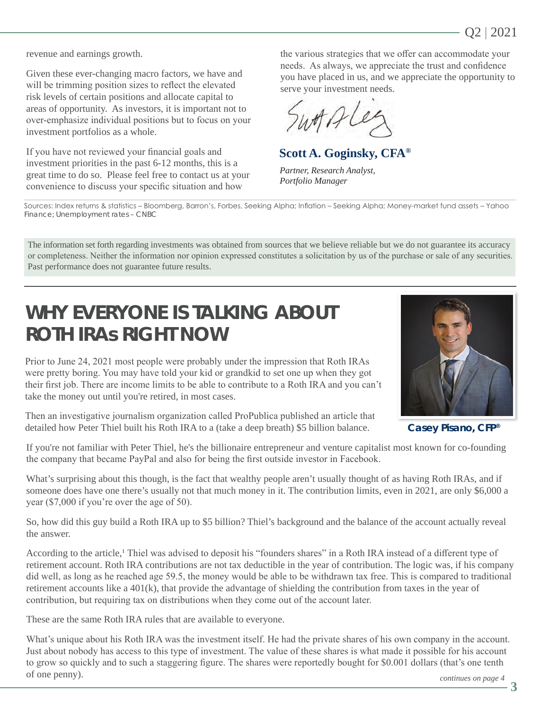revenue and earnings growth.

Given these ever-changing macro factors, we have and will be trimming position sizes to reflect the elevated risk levels of certain positions and allocate capital to areas of opportunity. As investors, it is important not to over-emphasize individual positions but to focus on your investment portfolios as a whole.

If you have not reviewed your financial goals and investment priorities in the past 6-12 months, this is a great time to do so. Please feel free to contact us at your convenience to discuss your specific situation and how

the various strategies that we offer can accommodate your needs. As always, we appreciate the trust and confidence you have placed in us, and we appreciate the opportunity to serve your investment needs.

**Scott A. Goginsky, CFA®**

*Partner, Research Analyst, Portfolio Manager*

Sources: Index returns & statistics – Bloomberg, Barron's, Forbes, Seeking Alpha; Inflation – Seeking Alpha; Money-market fund assets – Yahoo Finance; Unemployment rates – CNBC

The information set forth regarding investments was obtained from sources that we believe reliable but we do not guarantee its accuracy or completeness. Neither the information nor opinion expressed constitutes a solicitation by us of the purchase or sale of any securities. Past performance does not guarantee future results.

# **WHY EVERYONE IS TALKING ABOUT ROTH IRAs RIGHT NOW**

Prior to June 24, 2021 most people were probably under the impression that Roth IRAs were pretty boring. You may have told your kid or grandkid to set one up when they got their first job. There are income limits to be able to contribute to a Roth IRA and you can't take the money out until you're retired, in most cases.

Then an investigative journalism organization called ProPublica published an article that detailed how Peter Thiel built his Roth IRA to a (take a deep breath) \$5 billion balance.



**Casey Pisano, CFP®**

If you're not familiar with Peter Thiel, he's the billionaire entrepreneur and venture capitalist most known for co-founding the company that became PayPal and also for being the first outside investor in Facebook.

What's surprising about this though, is the fact that wealthy people aren't usually thought of as having Roth IRAs, and if someone does have one there's usually not that much money in it. The contribution limits, even in 2021, are only \$6,000 a year (\$7,000 if you're over the age of 50).

So, how did this guy build a Roth IRA up to \$5 billion? Thiel's background and the balance of the account actually reveal the answer.

According to the article,<sup>1</sup> Thiel was advised to deposit his "founders shares" in a Roth IRA instead of a different type of retirement account. Roth IRA contributions are not tax deductible in the year of contribution. The logic was, if his company did well, as long as he reached age 59.5, the money would be able to be withdrawn tax free. This is compared to traditional retirement accounts like a 401(k), that provide the advantage of shielding the contribution from taxes in the year of contribution, but requiring tax on distributions when they come out of the account later.

These are the same Roth IRA rules that are available to everyone.

What's unique about his Roth IRA was the investment itself. He had the private shares of his own company in the account. Just about nobody has access to this type of investment. The value of these shares is what made it possible for his account to grow so quickly and to such a staggering figure. The shares were reportedly bought for \$0.001 dollars (that's one tenth of one penny).